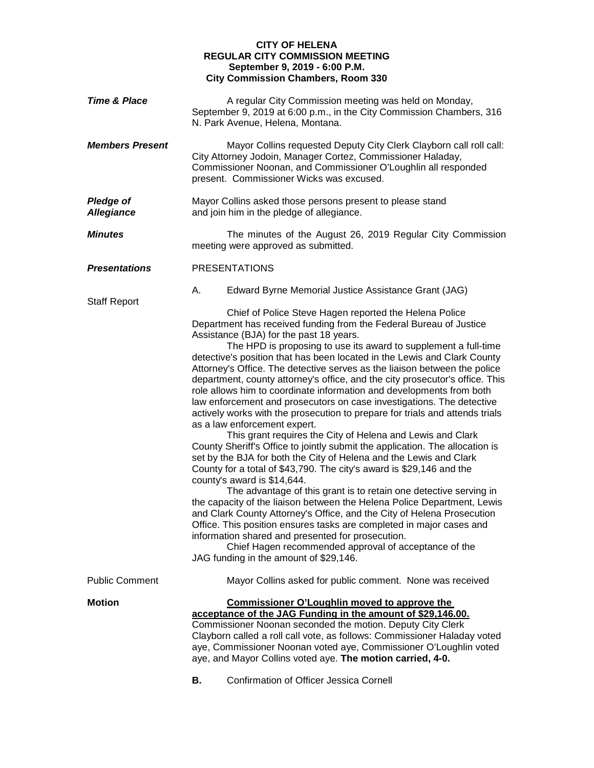## **CITY OF HELENA REGULAR CITY COMMISSION MEETING September 9, 2019 - 6:00 P.M. City Commission Chambers, Room 330**

| <b>Time &amp; Place</b>               | A regular City Commission meeting was held on Monday,<br>September 9, 2019 at 6:00 p.m., in the City Commission Chambers, 316<br>N. Park Avenue, Helena, Montana.                                                                                                                                                                                                                                                                                                                                                                                                                                                                                                                                                                                                                                                                                                                                                                                                                                                                                                                                                                                                                                                                                                                                                                                                                                                                                                                                                                         |  |
|---------------------------------------|-------------------------------------------------------------------------------------------------------------------------------------------------------------------------------------------------------------------------------------------------------------------------------------------------------------------------------------------------------------------------------------------------------------------------------------------------------------------------------------------------------------------------------------------------------------------------------------------------------------------------------------------------------------------------------------------------------------------------------------------------------------------------------------------------------------------------------------------------------------------------------------------------------------------------------------------------------------------------------------------------------------------------------------------------------------------------------------------------------------------------------------------------------------------------------------------------------------------------------------------------------------------------------------------------------------------------------------------------------------------------------------------------------------------------------------------------------------------------------------------------------------------------------------------|--|
| <b>Members Present</b>                | Mayor Collins requested Deputy City Clerk Clayborn call roll call:<br>City Attorney Jodoin, Manager Cortez, Commissioner Haladay,<br>Commissioner Noonan, and Commissioner O'Loughlin all responded<br>present. Commissioner Wicks was excused.                                                                                                                                                                                                                                                                                                                                                                                                                                                                                                                                                                                                                                                                                                                                                                                                                                                                                                                                                                                                                                                                                                                                                                                                                                                                                           |  |
| <b>Pledge of</b><br><b>Allegiance</b> | Mayor Collins asked those persons present to please stand<br>and join him in the pledge of allegiance.                                                                                                                                                                                                                                                                                                                                                                                                                                                                                                                                                                                                                                                                                                                                                                                                                                                                                                                                                                                                                                                                                                                                                                                                                                                                                                                                                                                                                                    |  |
| <b>Minutes</b>                        | The minutes of the August 26, 2019 Regular City Commission<br>meeting were approved as submitted.                                                                                                                                                                                                                                                                                                                                                                                                                                                                                                                                                                                                                                                                                                                                                                                                                                                                                                                                                                                                                                                                                                                                                                                                                                                                                                                                                                                                                                         |  |
| <b>Presentations</b>                  | <b>PRESENTATIONS</b>                                                                                                                                                                                                                                                                                                                                                                                                                                                                                                                                                                                                                                                                                                                                                                                                                                                                                                                                                                                                                                                                                                                                                                                                                                                                                                                                                                                                                                                                                                                      |  |
| <b>Staff Report</b>                   | А.<br>Edward Byrne Memorial Justice Assistance Grant (JAG)                                                                                                                                                                                                                                                                                                                                                                                                                                                                                                                                                                                                                                                                                                                                                                                                                                                                                                                                                                                                                                                                                                                                                                                                                                                                                                                                                                                                                                                                                |  |
|                                       | Chief of Police Steve Hagen reported the Helena Police<br>Department has received funding from the Federal Bureau of Justice<br>Assistance (BJA) for the past 18 years.<br>The HPD is proposing to use its award to supplement a full-time<br>detective's position that has been located in the Lewis and Clark County<br>Attorney's Office. The detective serves as the liaison between the police<br>department, county attorney's office, and the city prosecutor's office. This<br>role allows him to coordinate information and developments from both<br>law enforcement and prosecutors on case investigations. The detective<br>actively works with the prosecution to prepare for trials and attends trials<br>as a law enforcement expert.<br>This grant requires the City of Helena and Lewis and Clark<br>County Sheriff's Office to jointly submit the application. The allocation is<br>set by the BJA for both the City of Helena and the Lewis and Clark<br>County for a total of \$43,790. The city's award is \$29,146 and the<br>county's award is \$14,644.<br>The advantage of this grant is to retain one detective serving in<br>the capacity of the liaison between the Helena Police Department, Lewis<br>and Clark County Attorney's Office, and the City of Helena Prosecution<br>Office. This position ensures tasks are completed in major cases and<br>information shared and presented for prosecution.<br>Chief Hagen recommended approval of acceptance of the<br>JAG funding in the amount of \$29,146. |  |
| <b>Public Comment</b>                 | Mayor Collins asked for public comment. None was received                                                                                                                                                                                                                                                                                                                                                                                                                                                                                                                                                                                                                                                                                                                                                                                                                                                                                                                                                                                                                                                                                                                                                                                                                                                                                                                                                                                                                                                                                 |  |
| <b>Motion</b>                         | <b>Commissioner O'Loughlin moved to approve the</b><br>acceptance of the JAG Funding in the amount of \$29,146.00.<br>Commissioner Noonan seconded the motion. Deputy City Clerk<br>Clayborn called a roll call vote, as follows: Commissioner Haladay voted<br>aye, Commissioner Noonan voted aye, Commissioner O'Loughlin voted<br>aye, and Mayor Collins voted aye. The motion carried, 4-0.<br>Confirmation of Officer Jessica Cornell<br>В.                                                                                                                                                                                                                                                                                                                                                                                                                                                                                                                                                                                                                                                                                                                                                                                                                                                                                                                                                                                                                                                                                          |  |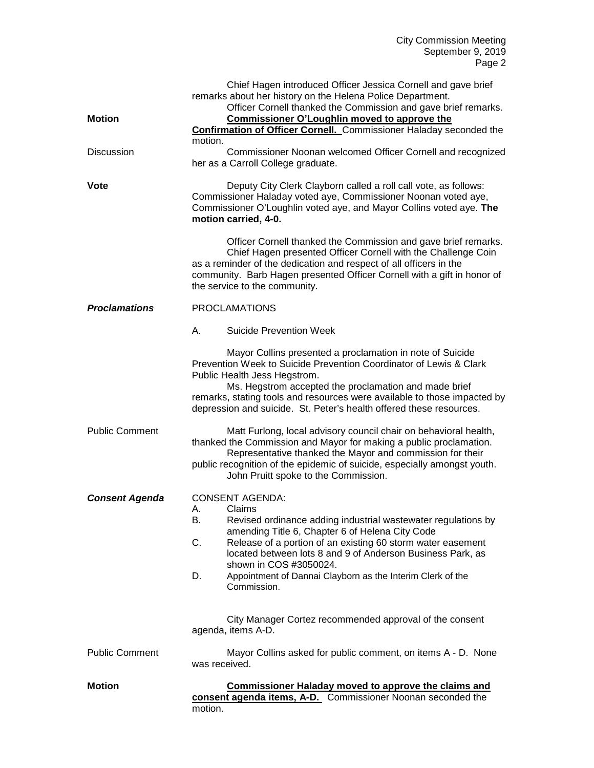| <b>Motion</b>         | Chief Hagen introduced Officer Jessica Cornell and gave brief<br>remarks about her history on the Helena Police Department.<br>Officer Cornell thanked the Commission and gave brief remarks.<br><b>Commissioner O'Loughlin moved to approve the</b><br><b>Confirmation of Officer Cornell.</b> Commissioner Haladay seconded the<br>motion.                                                                     |
|-----------------------|------------------------------------------------------------------------------------------------------------------------------------------------------------------------------------------------------------------------------------------------------------------------------------------------------------------------------------------------------------------------------------------------------------------|
| <b>Discussion</b>     | Commissioner Noonan welcomed Officer Cornell and recognized<br>her as a Carroll College graduate.                                                                                                                                                                                                                                                                                                                |
| Vote                  | Deputy City Clerk Clayborn called a roll call vote, as follows:<br>Commissioner Haladay voted aye, Commissioner Noonan voted aye,<br>Commissioner O'Loughlin voted aye, and Mayor Collins voted aye. The<br>motion carried, 4-0.                                                                                                                                                                                 |
|                       | Officer Cornell thanked the Commission and gave brief remarks.<br>Chief Hagen presented Officer Cornell with the Challenge Coin<br>as a reminder of the dedication and respect of all officers in the<br>community. Barb Hagen presented Officer Cornell with a gift in honor of<br>the service to the community.                                                                                                |
| <b>Proclamations</b>  | <b>PROCLAMATIONS</b>                                                                                                                                                                                                                                                                                                                                                                                             |
|                       | Α.<br><b>Suicide Prevention Week</b>                                                                                                                                                                                                                                                                                                                                                                             |
|                       | Mayor Collins presented a proclamation in note of Suicide<br>Prevention Week to Suicide Prevention Coordinator of Lewis & Clark<br>Public Health Jess Hegstrom.<br>Ms. Hegstrom accepted the proclamation and made brief<br>remarks, stating tools and resources were available to those impacted by<br>depression and suicide. St. Peter's health offered these resources.                                      |
| <b>Public Comment</b> | Matt Furlong, local advisory council chair on behavioral health,<br>thanked the Commission and Mayor for making a public proclamation.<br>Representative thanked the Mayor and commission for their<br>public recognition of the epidemic of suicide, especially amongst youth.<br>John Pruitt spoke to the Commission.                                                                                          |
| <b>Consent Agenda</b> | <b>CONSENT AGENDA:</b><br>Claims<br>Α.<br>Revised ordinance adding industrial wastewater regulations by<br>В.<br>amending Title 6, Chapter 6 of Helena City Code<br>C.<br>Release of a portion of an existing 60 storm water easement<br>located between lots 8 and 9 of Anderson Business Park, as<br>shown in COS #3050024.<br>D.<br>Appointment of Dannai Clayborn as the Interim Clerk of the<br>Commission. |
|                       | City Manager Cortez recommended approval of the consent<br>agenda, items A-D.                                                                                                                                                                                                                                                                                                                                    |
| <b>Public Comment</b> | Mayor Collins asked for public comment, on items A - D. None<br>was received.                                                                                                                                                                                                                                                                                                                                    |
| <b>Motion</b>         | <b>Commissioner Haladay moved to approve the claims and</b><br>consent agenda items, A-D. Commissioner Noonan seconded the<br>motion.                                                                                                                                                                                                                                                                            |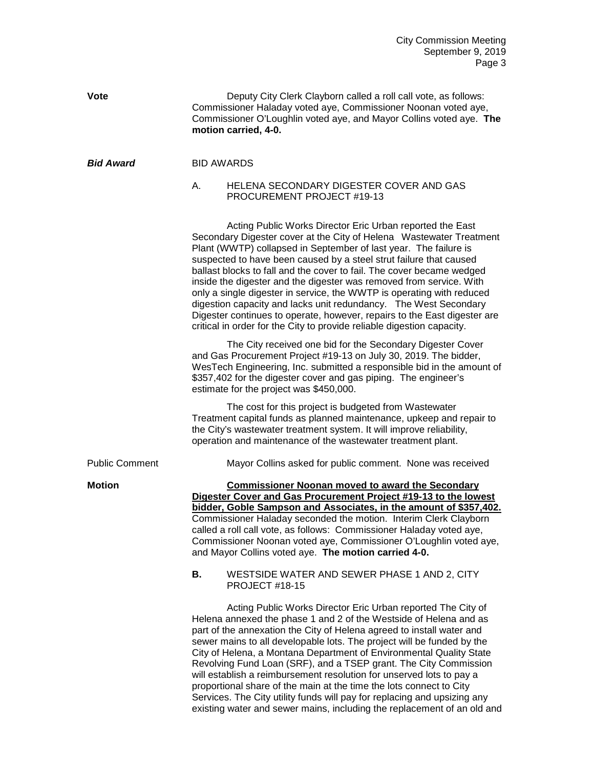| Vote                  | Deputy City Clerk Clayborn called a roll call vote, as follows:<br>Commissioner Haladay voted aye, Commissioner Noonan voted aye,<br>Commissioner O'Loughlin voted aye, and Mayor Collins voted aye. The<br>motion carried, 4-0.                                                                                                                                                                                                                                                                                                                                                                                                                                                                                                      |
|-----------------------|---------------------------------------------------------------------------------------------------------------------------------------------------------------------------------------------------------------------------------------------------------------------------------------------------------------------------------------------------------------------------------------------------------------------------------------------------------------------------------------------------------------------------------------------------------------------------------------------------------------------------------------------------------------------------------------------------------------------------------------|
| <b>Bid Award</b>      | <b>BID AWARDS</b>                                                                                                                                                                                                                                                                                                                                                                                                                                                                                                                                                                                                                                                                                                                     |
|                       | HELENA SECONDARY DIGESTER COVER AND GAS<br>А.<br>PROCUREMENT PROJECT #19-13                                                                                                                                                                                                                                                                                                                                                                                                                                                                                                                                                                                                                                                           |
|                       | Acting Public Works Director Eric Urban reported the East<br>Secondary Digester cover at the City of Helena Wastewater Treatment<br>Plant (WWTP) collapsed in September of last year. The failure is<br>suspected to have been caused by a steel strut failure that caused<br>ballast blocks to fall and the cover to fail. The cover became wedged<br>inside the digester and the digester was removed from service. With<br>only a single digester in service, the WWTP is operating with reduced<br>digestion capacity and lacks unit redundancy. The West Secondary<br>Digester continues to operate, however, repairs to the East digester are<br>critical in order for the City to provide reliable digestion capacity.         |
|                       | The City received one bid for the Secondary Digester Cover<br>and Gas Procurement Project #19-13 on July 30, 2019. The bidder,<br>WesTech Engineering, Inc. submitted a responsible bid in the amount of<br>\$357,402 for the digester cover and gas piping. The engineer's<br>estimate for the project was \$450,000.                                                                                                                                                                                                                                                                                                                                                                                                                |
|                       | The cost for this project is budgeted from Wastewater<br>Treatment capital funds as planned maintenance, upkeep and repair to<br>the City's wastewater treatment system. It will improve reliability,<br>operation and maintenance of the wastewater treatment plant.                                                                                                                                                                                                                                                                                                                                                                                                                                                                 |
| <b>Public Comment</b> | Mayor Collins asked for public comment. None was received                                                                                                                                                                                                                                                                                                                                                                                                                                                                                                                                                                                                                                                                             |
| <b>Motion</b>         | <b>Commissioner Noonan moved to award the Secondary</b><br>Digester Cover and Gas Procurement Project #19-13 to the lowest<br>bidder, Goble Sampson and Associates, in the amount of \$357,402.<br>Commissioner Haladay seconded the motion. Interim Clerk Clayborn<br>called a roll call vote, as follows: Commissioner Haladay voted aye,<br>Commissioner Noonan voted aye, Commissioner O'Loughlin voted aye,<br>and Mayor Collins voted aye. The motion carried 4-0.                                                                                                                                                                                                                                                              |
|                       | В.<br>WESTSIDE WATER AND SEWER PHASE 1 AND 2, CITY<br><b>PROJECT #18-15</b>                                                                                                                                                                                                                                                                                                                                                                                                                                                                                                                                                                                                                                                           |
|                       | Acting Public Works Director Eric Urban reported The City of<br>Helena annexed the phase 1 and 2 of the Westside of Helena and as<br>part of the annexation the City of Helena agreed to install water and<br>sewer mains to all developable lots. The project will be funded by the<br>City of Helena, a Montana Department of Environmental Quality State<br>Revolving Fund Loan (SRF), and a TSEP grant. The City Commission<br>will establish a reimbursement resolution for unserved lots to pay a<br>proportional share of the main at the time the lots connect to City<br>Services. The City utility funds will pay for replacing and upsizing any<br>existing water and sewer mains, including the replacement of an old and |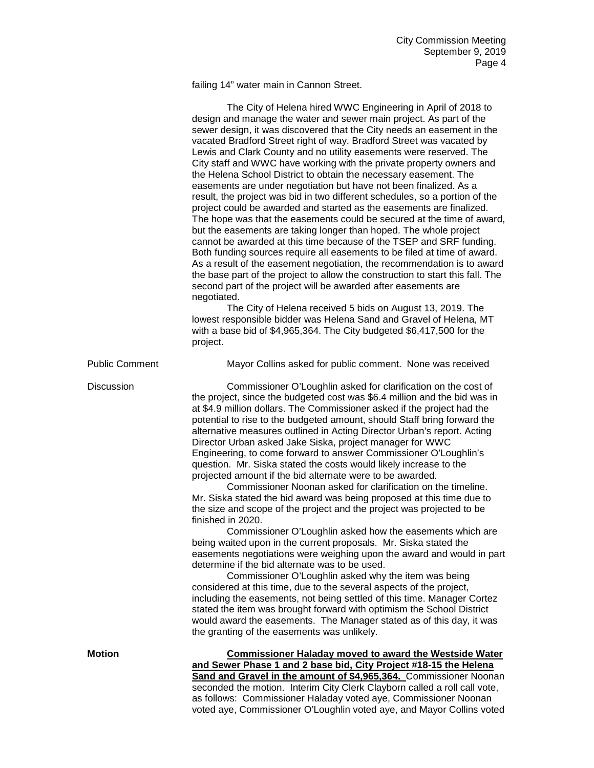failing 14" water main in Cannon Street.

|                       | The City of Helena hired WWC Engineering in April of 2018 to<br>design and manage the water and sewer main project. As part of the                        |
|-----------------------|-----------------------------------------------------------------------------------------------------------------------------------------------------------|
|                       | sewer design, it was discovered that the City needs an easement in the                                                                                    |
|                       | vacated Bradford Street right of way. Bradford Street was vacated by                                                                                      |
|                       | Lewis and Clark County and no utility easements were reserved. The                                                                                        |
|                       | City staff and WWC have working with the private property owners and<br>the Helena School District to obtain the necessary easement. The                  |
|                       | easements are under negotiation but have not been finalized. As a                                                                                         |
|                       | result, the project was bid in two different schedules, so a portion of the                                                                               |
|                       | project could be awarded and started as the easements are finalized.                                                                                      |
|                       | The hope was that the easements could be secured at the time of award,                                                                                    |
|                       | but the easements are taking longer than hoped. The whole project                                                                                         |
|                       | cannot be awarded at this time because of the TSEP and SRF funding.                                                                                       |
|                       | Both funding sources require all easements to be filed at time of award.                                                                                  |
|                       | As a result of the easement negotiation, the recommendation is to award<br>the base part of the project to allow the construction to start this fall. The |
|                       | second part of the project will be awarded after easements are<br>negotiated.                                                                             |
|                       | The City of Helena received 5 bids on August 13, 2019. The                                                                                                |
|                       | lowest responsible bidder was Helena Sand and Gravel of Helena, MT                                                                                        |
|                       | with a base bid of \$4,965,364. The City budgeted \$6,417,500 for the                                                                                     |
|                       | project.                                                                                                                                                  |
| <b>Public Comment</b> | Mayor Collins asked for public comment. None was received                                                                                                 |
| <b>Discussion</b>     | Commissioner O'Loughlin asked for clarification on the cost of                                                                                            |
|                       | the project, since the budgeted cost was \$6.4 million and the bid was in<br>at \$4.9 million dollars. The Commissioner asked if the project had the      |
|                       |                                                                                                                                                           |
|                       |                                                                                                                                                           |
|                       | potential to rise to the budgeted amount, should Staff bring forward the                                                                                  |
|                       | alternative measures outlined in Acting Director Urban's report. Acting<br>Director Urban asked Jake Siska, project manager for WWC                       |
|                       | Engineering, to come forward to answer Commissioner O'Loughlin's                                                                                          |
|                       | question. Mr. Siska stated the costs would likely increase to the                                                                                         |
|                       | projected amount if the bid alternate were to be awarded.                                                                                                 |
|                       | Commissioner Noonan asked for clarification on the timeline.                                                                                              |
|                       | Mr. Siska stated the bid award was being proposed at this time due to                                                                                     |
|                       | the size and scope of the project and the project was projected to be<br>finished in 2020.                                                                |
|                       | Commissioner O'Loughlin asked how the easements which are                                                                                                 |
|                       | being waited upon in the current proposals. Mr. Siska stated the                                                                                          |
|                       | easements negotiations were weighing upon the award and would in part                                                                                     |
|                       | determine if the bid alternate was to be used.                                                                                                            |
|                       | Commissioner O'Loughlin asked why the item was being                                                                                                      |
|                       | considered at this time, due to the several aspects of the project,                                                                                       |
|                       | including the easements, not being settled of this time. Manager Cortez<br>stated the item was brought forward with optimism the School District          |
|                       | would award the easements. The Manager stated as of this day, it was                                                                                      |
|                       | the granting of the easements was unlikely.                                                                                                               |
| <b>Motion</b>         | <b>Commissioner Haladay moved to award the Westside Water</b>                                                                                             |
|                       | and Sewer Phase 1 and 2 base bid, City Project #18-15 the Helena                                                                                          |
|                       | Sand and Gravel in the amount of \$4,965,364. Commissioner Noonan<br>seconded the motion. Interim City Clerk Clayborn called a roll call vote,            |

voted aye, Commissioner O'Loughlin voted aye, and Mayor Collins voted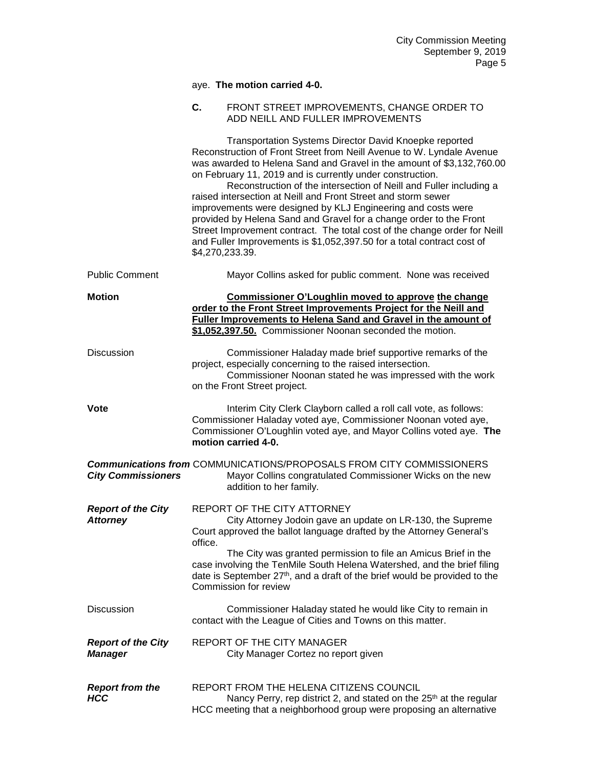|                                              |         | aye. The motion carried 4-0.                                                                                                                                                                                                                                                                                                                                                                                                                                                                                                                                                                                                                                                                                                        |
|----------------------------------------------|---------|-------------------------------------------------------------------------------------------------------------------------------------------------------------------------------------------------------------------------------------------------------------------------------------------------------------------------------------------------------------------------------------------------------------------------------------------------------------------------------------------------------------------------------------------------------------------------------------------------------------------------------------------------------------------------------------------------------------------------------------|
|                                              | C.      | FRONT STREET IMPROVEMENTS, CHANGE ORDER TO<br>ADD NEILL AND FULLER IMPROVEMENTS                                                                                                                                                                                                                                                                                                                                                                                                                                                                                                                                                                                                                                                     |
|                                              |         | <b>Transportation Systems Director David Knoepke reported</b><br>Reconstruction of Front Street from Neill Avenue to W. Lyndale Avenue<br>was awarded to Helena Sand and Gravel in the amount of \$3,132,760.00<br>on February 11, 2019 and is currently under construction.<br>Reconstruction of the intersection of Neill and Fuller including a<br>raised intersection at Neill and Front Street and storm sewer<br>improvements were designed by KLJ Engineering and costs were<br>provided by Helena Sand and Gravel for a change order to the Front<br>Street Improvement contract. The total cost of the change order for Neill<br>and Fuller Improvements is \$1,052,397.50 for a total contract cost of<br>\$4,270,233.39. |
| <b>Public Comment</b>                        |         | Mayor Collins asked for public comment. None was received                                                                                                                                                                                                                                                                                                                                                                                                                                                                                                                                                                                                                                                                           |
| <b>Motion</b>                                |         | Commissioner O'Loughlin moved to approve the change<br>order to the Front Street Improvements Project for the Neill and<br>Fuller Improvements to Helena Sand and Gravel in the amount of<br>\$1,052,397.50. Commissioner Noonan seconded the motion.                                                                                                                                                                                                                                                                                                                                                                                                                                                                               |
| <b>Discussion</b>                            |         | Commissioner Haladay made brief supportive remarks of the<br>project, especially concerning to the raised intersection.<br>Commissioner Noonan stated he was impressed with the work<br>on the Front Street project.                                                                                                                                                                                                                                                                                                                                                                                                                                                                                                                |
| Vote                                         |         | Interim City Clerk Clayborn called a roll call vote, as follows:<br>Commissioner Haladay voted aye, Commissioner Noonan voted aye,<br>Commissioner O'Loughlin voted aye, and Mayor Collins voted aye. The<br>motion carried 4-0.                                                                                                                                                                                                                                                                                                                                                                                                                                                                                                    |
| <b>City Commissioners</b>                    |         | <b>Communications from COMMUNICATIONS/PROPOSALS FROM CITY COMMISSIONERS</b><br>Mayor Collins congratulated Commissioner Wicks on the new<br>addition to her family.                                                                                                                                                                                                                                                                                                                                                                                                                                                                                                                                                                 |
| <b>Report of the City</b><br><b>Attorney</b> | office. | REPORT OF THE CITY ATTORNEY<br>City Attorney Jodoin gave an update on LR-130, the Supreme<br>Court approved the ballot language drafted by the Attorney General's<br>The City was granted permission to file an Amicus Brief in the<br>case involving the TenMile South Helena Watershed, and the brief filing                                                                                                                                                                                                                                                                                                                                                                                                                      |
|                                              |         | date is September 27 <sup>th</sup> , and a draft of the brief would be provided to the<br>Commission for review                                                                                                                                                                                                                                                                                                                                                                                                                                                                                                                                                                                                                     |
| Discussion                                   |         | Commissioner Haladay stated he would like City to remain in<br>contact with the League of Cities and Towns on this matter.                                                                                                                                                                                                                                                                                                                                                                                                                                                                                                                                                                                                          |
| <b>Report of the City</b><br><b>Manager</b>  |         | REPORT OF THE CITY MANAGER<br>City Manager Cortez no report given                                                                                                                                                                                                                                                                                                                                                                                                                                                                                                                                                                                                                                                                   |
| <b>Report from the</b><br><b>HCC</b>         |         | REPORT FROM THE HELENA CITIZENS COUNCIL<br>Nancy Perry, rep district 2, and stated on the 25 <sup>th</sup> at the regular                                                                                                                                                                                                                                                                                                                                                                                                                                                                                                                                                                                                           |

HCC meeting that a neighborhood group were proposing an alternative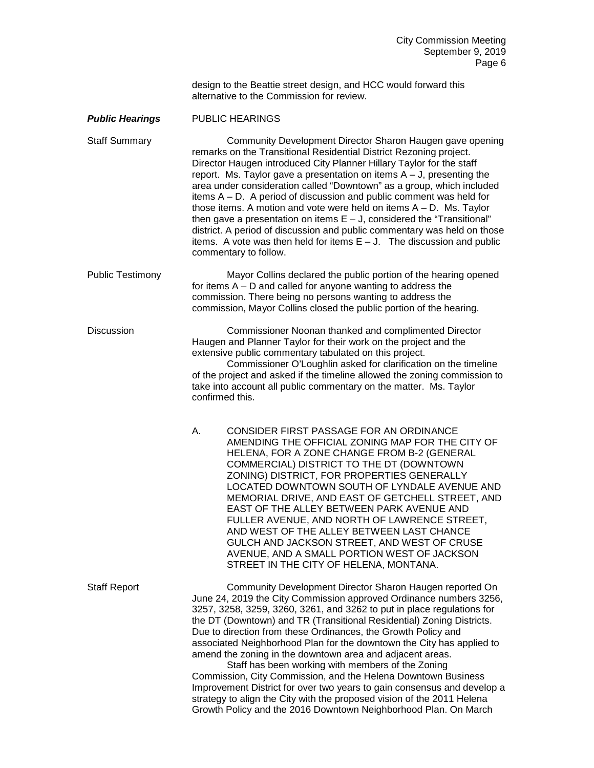design to the Beattie street design, and HCC would forward this alternative to the Commission for review.

### *Public Hearings* PUBLIC HEARINGS

Staff Summary Community Development Director Sharon Haugen gave opening remarks on the Transitional Residential District Rezoning project. Director Haugen introduced City Planner Hillary Taylor for the staff report. Ms. Taylor gave a presentation on items  $A - J$ , presenting the area under consideration called "Downtown" as a group, which included items A – D. A period of discussion and public comment was held for those items. A motion and vote were held on items A – D. Ms. Taylor then gave a presentation on items  $E - J$ , considered the "Transitional" district. A period of discussion and public commentary was held on those items. A vote was then held for items  $E - J$ . The discussion and public commentary to follow.

Public Testimony Mayor Collins declared the public portion of the hearing opened for items A – D and called for anyone wanting to address the commission. There being no persons wanting to address the commission, Mayor Collins closed the public portion of the hearing.

Discussion Commissioner Noonan thanked and complimented Director Haugen and Planner Taylor for their work on the project and the extensive public commentary tabulated on this project.

> Commissioner O'Loughlin asked for clarification on the timeline of the project and asked if the timeline allowed the zoning commission to take into account all public commentary on the matter. Ms. Taylor confirmed this.

A. CONSIDER FIRST PASSAGE FOR AN ORDINANCE AMENDING THE OFFICIAL ZONING MAP FOR THE CITY OF HELENA, FOR A ZONE CHANGE FROM B-2 (GENERAL COMMERCIAL) DISTRICT TO THE DT (DOWNTOWN ZONING) DISTRICT, FOR PROPERTIES GENERALLY LOCATED DOWNTOWN SOUTH OF LYNDALE AVENUE AND MEMORIAL DRIVE, AND EAST OF GETCHELL STREET, AND EAST OF THE ALLEY BETWEEN PARK AVENUE AND FULLER AVENUE, AND NORTH OF LAWRENCE STREET, AND WEST OF THE ALLEY BETWEEN LAST CHANCE GULCH AND JACKSON STREET, AND WEST OF CRUSE AVENUE, AND A SMALL PORTION WEST OF JACKSON STREET IN THE CITY OF HELENA, MONTANA.

Staff Report **Community Development Director Sharon Haugen reported On** June 24, 2019 the City Commission approved Ordinance numbers 3256, 3257, 3258, 3259, 3260, 3261, and 3262 to put in place regulations for the DT (Downtown) and TR (Transitional Residential) Zoning Districts. Due to direction from these Ordinances, the Growth Policy and associated Neighborhood Plan for the downtown the City has applied to amend the zoning in the downtown area and adjacent areas. Staff has been working with members of the Zoning Commission, City Commission, and the Helena Downtown Business Improvement District for over two years to gain consensus and develop a

strategy to align the City with the proposed vision of the 2011 Helena Growth Policy and the 2016 Downtown Neighborhood Plan. On March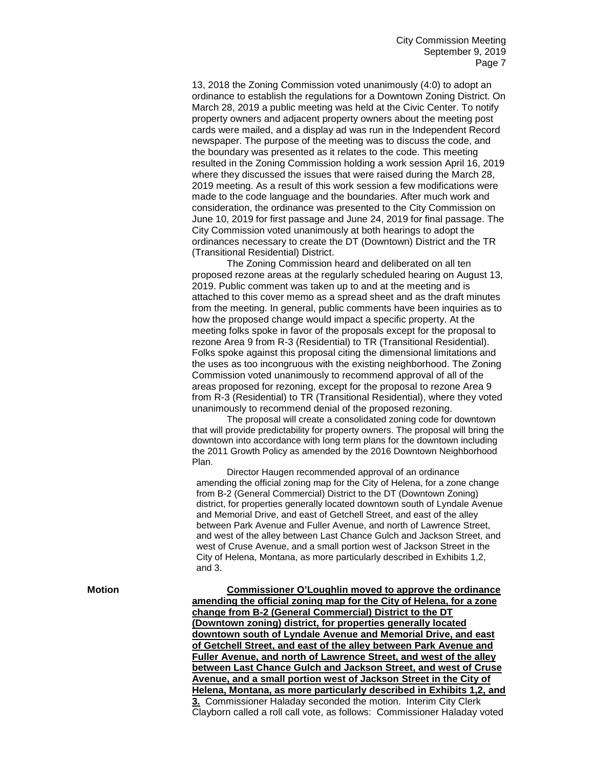13, 2018 the Zoning Commission voted unanimously (4:0) to adopt an ordinance to establish the regulations for a Downtown Zoning District. On March 28, 2019 a public meeting was held at the Civic Center. To notify property owners and adjacent property owners about the meeting post cards were mailed, and a display ad was run in the Independent Record newspaper. The purpose of the meeting was to discuss the code, and the boundary was presented as it relates to the code. This meeting resulted in the Zoning Commission holding a work session April 16, 2019 where they discussed the issues that were raised during the March 28, 2019 meeting. As a result of this work session a few modifications were made to the code language and the boundaries. After much work and consideration, the ordinance was presented to the City Commission on June 10, 2019 for first passage and June 24, 2019 for final passage. The City Commission voted unanimously at both hearings to adopt the ordinances necessary to create the DT (Downtown) District and the TR (Transitional Residential) District.

The Zoning Commission heard and deliberated on all ten proposed rezone areas at the regularly scheduled hearing on August 13, 2019. Public comment was taken up to and at the meeting and is attached to this cover memo as a spread sheet and as the draft minutes from the meeting. In general, public comments have been inquiries as to how the proposed change would impact a specific property. At the meeting folks spoke in favor of the proposals except for the proposal to rezone Area 9 from R-3 (Residential) to TR (Transitional Residential). Folks spoke against this proposal citing the dimensional limitations and the uses as too incongruous with the existing neighborhood. The Zoning Commission voted unanimously to recommend approval of all of the areas proposed for rezoning, except for the proposal to rezone Area 9 from R-3 (Residential) to TR (Transitional Residential), where they voted unanimously to recommend denial of the proposed rezoning.

The proposal will create a consolidated zoning code for downtown that will provide predictability for property owners. The proposal will bring the downtown into accordance with long term plans for the downtown including the 2011 Growth Policy as amended by the 2016 Downtown Neighborhood Plan.

Director Haugen recommended approval of an ordinance amending the official zoning map for the City of Helena, for a zone change from B-2 (General Commercial) District to the DT (Downtown Zoning) district, for properties generally located downtown south of Lyndale Avenue and Memorial Drive, and east of Getchell Street, and east of the alley between Park Avenue and Fuller Avenue, and north of Lawrence Street, and west of the alley between Last Chance Gulch and Jackson Street, and west of Cruse Avenue, and a small portion west of Jackson Street in the City of Helena, Montana, as more particularly described in Exhibits 1,2, and 3.

**Motion Commissioner O'Loughlin moved to approve the ordinance amending the official zoning map for the City of Helena, for a zone change from B-2 (General Commercial) District to the DT (Downtown zoning) district, for properties generally located downtown south of Lyndale Avenue and Memorial Drive, and east of Getchell Street, and east of the alley between Park Avenue and Fuller Avenue, and north of Lawrence Street, and west of the alley between Last Chance Gulch and Jackson Street, and west of Cruse Avenue, and a small portion west of Jackson Street in the City of Helena, Montana, as more particularly described in Exhibits 1,2, and 3.** Commissioner Haladay seconded the motion.Interim City Clerk Clayborn called a roll call vote, as follows: Commissioner Haladay voted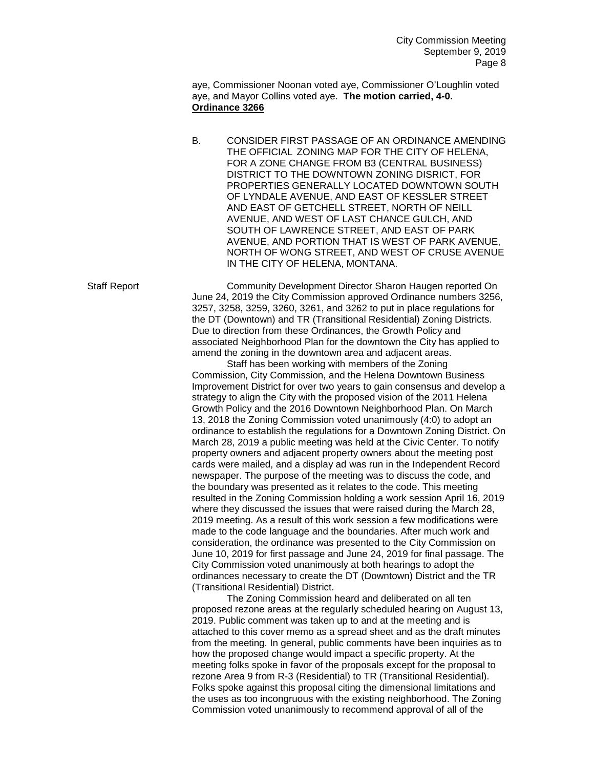aye, Commissioner Noonan voted aye, Commissioner O'Loughlin voted aye, and Mayor Collins voted aye. **The motion carried, 4-0. Ordinance 3266** 

B. CONSIDER FIRST PASSAGE OF AN ORDINANCE AMENDING THE OFFICIAL ZONING MAP FOR THE CITY OF HELENA, FOR A ZONE CHANGE FROM B3 (CENTRAL BUSINESS) DISTRICT TO THE DOWNTOWN ZONING DISRICT, FOR PROPERTIES GENERALLY LOCATED DOWNTOWN SOUTH OF LYNDALE AVENUE, AND EAST OF KESSLER STREET AND EAST OF GETCHELL STREET, NORTH OF NEILL AVENUE, AND WEST OF LAST CHANCE GULCH, AND SOUTH OF LAWRENCE STREET, AND EAST OF PARK AVENUE, AND PORTION THAT IS WEST OF PARK AVENUE, NORTH OF WONG STREET, AND WEST OF CRUSE AVENUE IN THE CITY OF HELENA, MONTANA.

Staff Report Community Development Director Sharon Haugen reported On June 24, 2019 the City Commission approved Ordinance numbers 3256, 3257, 3258, 3259, 3260, 3261, and 3262 to put in place regulations for the DT (Downtown) and TR (Transitional Residential) Zoning Districts. Due to direction from these Ordinances, the Growth Policy and associated Neighborhood Plan for the downtown the City has applied to amend the zoning in the downtown area and adjacent areas.

Staff has been working with members of the Zoning Commission, City Commission, and the Helena Downtown Business Improvement District for over two years to gain consensus and develop a strategy to align the City with the proposed vision of the 2011 Helena Growth Policy and the 2016 Downtown Neighborhood Plan. On March 13, 2018 the Zoning Commission voted unanimously (4:0) to adopt an ordinance to establish the regulations for a Downtown Zoning District. On March 28, 2019 a public meeting was held at the Civic Center. To notify property owners and adjacent property owners about the meeting post cards were mailed, and a display ad was run in the Independent Record newspaper. The purpose of the meeting was to discuss the code, and the boundary was presented as it relates to the code. This meeting resulted in the Zoning Commission holding a work session April 16, 2019 where they discussed the issues that were raised during the March 28, 2019 meeting. As a result of this work session a few modifications were made to the code language and the boundaries. After much work and consideration, the ordinance was presented to the City Commission on June 10, 2019 for first passage and June 24, 2019 for final passage. The City Commission voted unanimously at both hearings to adopt the ordinances necessary to create the DT (Downtown) District and the TR (Transitional Residential) District.

The Zoning Commission heard and deliberated on all ten proposed rezone areas at the regularly scheduled hearing on August 13, 2019. Public comment was taken up to and at the meeting and is attached to this cover memo as a spread sheet and as the draft minutes from the meeting. In general, public comments have been inquiries as to how the proposed change would impact a specific property. At the meeting folks spoke in favor of the proposals except for the proposal to rezone Area 9 from R-3 (Residential) to TR (Transitional Residential). Folks spoke against this proposal citing the dimensional limitations and the uses as too incongruous with the existing neighborhood. The Zoning Commission voted unanimously to recommend approval of all of the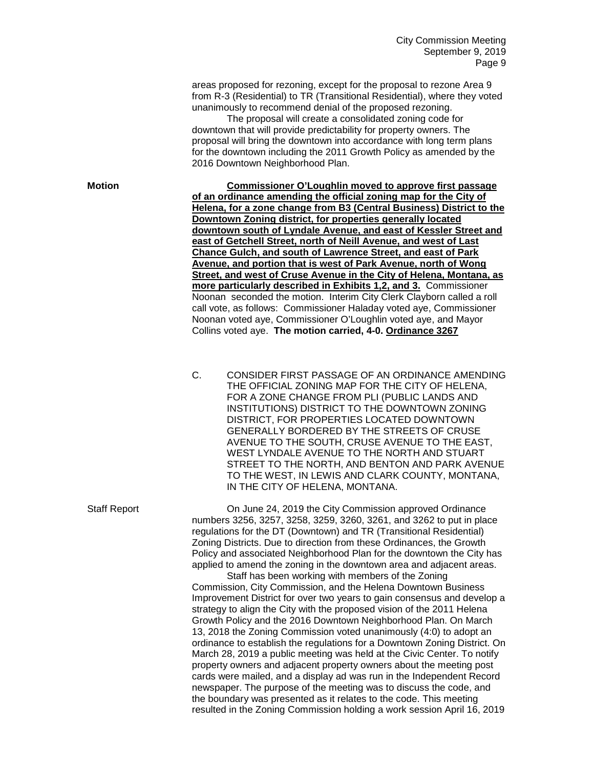areas proposed for rezoning, except for the proposal to rezone Area 9 from R-3 (Residential) to TR (Transitional Residential), where they voted unanimously to recommend denial of the proposed rezoning.

The proposal will create a consolidated zoning code for downtown that will provide predictability for property owners. The proposal will bring the downtown into accordance with long term plans for the downtown including the 2011 Growth Policy as amended by the 2016 Downtown Neighborhood Plan.

**Motion Commissioner O'Loughlin moved to approve first passage of an ordinance amending the official zoning map for the City of Helena, for a zone change from B3 (Central Business) District to the Downtown Zoning district, for properties generally located downtown south of Lyndale Avenue, and east of Kessler Street and east of Getchell Street, north of Neill Avenue, and west of Last Chance Gulch, and south of Lawrence Street, and east of Park Avenue, and portion that is west of Park Avenue, north of Wong Street, and west of Cruse Avenue in the City of Helena, Montana, as more particularly described in Exhibits 1,2, and 3.** Commissioner Noonan seconded the motion. Interim City Clerk Clayborn called a roll call vote, as follows: Commissioner Haladay voted aye, Commissioner Noonan voted aye, Commissioner O'Loughlin voted aye, and Mayor Collins voted aye. **The motion carried, 4-0. Ordinance 3267** 

> C. CONSIDER FIRST PASSAGE OF AN ORDINANCE AMENDING THE OFFICIAL ZONING MAP FOR THE CITY OF HELENA, FOR A ZONE CHANGE FROM PLI (PUBLIC LANDS AND INSTITUTIONS) DISTRICT TO THE DOWNTOWN ZONING DISTRICT, FOR PROPERTIES LOCATED DOWNTOWN GENERALLY BORDERED BY THE STREETS OF CRUSE AVENUE TO THE SOUTH, CRUSE AVENUE TO THE EAST, WEST LYNDALE AVENUE TO THE NORTH AND STUART STREET TO THE NORTH, AND BENTON AND PARK AVENUE TO THE WEST, IN LEWIS AND CLARK COUNTY, MONTANA, IN THE CITY OF HELENA, MONTANA.

Staff Report On June 24, 2019 the City Commission approved Ordinance numbers 3256, 3257, 3258, 3259, 3260, 3261, and 3262 to put in place regulations for the DT (Downtown) and TR (Transitional Residential) Zoning Districts. Due to direction from these Ordinances, the Growth Policy and associated Neighborhood Plan for the downtown the City has applied to amend the zoning in the downtown area and adjacent areas.

Staff has been working with members of the Zoning Commission, City Commission, and the Helena Downtown Business Improvement District for over two years to gain consensus and develop a strategy to align the City with the proposed vision of the 2011 Helena Growth Policy and the 2016 Downtown Neighborhood Plan. On March 13, 2018 the Zoning Commission voted unanimously (4:0) to adopt an ordinance to establish the regulations for a Downtown Zoning District. On March 28, 2019 a public meeting was held at the Civic Center. To notify property owners and adjacent property owners about the meeting post cards were mailed, and a display ad was run in the Independent Record newspaper. The purpose of the meeting was to discuss the code, and the boundary was presented as it relates to the code. This meeting resulted in the Zoning Commission holding a work session April 16, 2019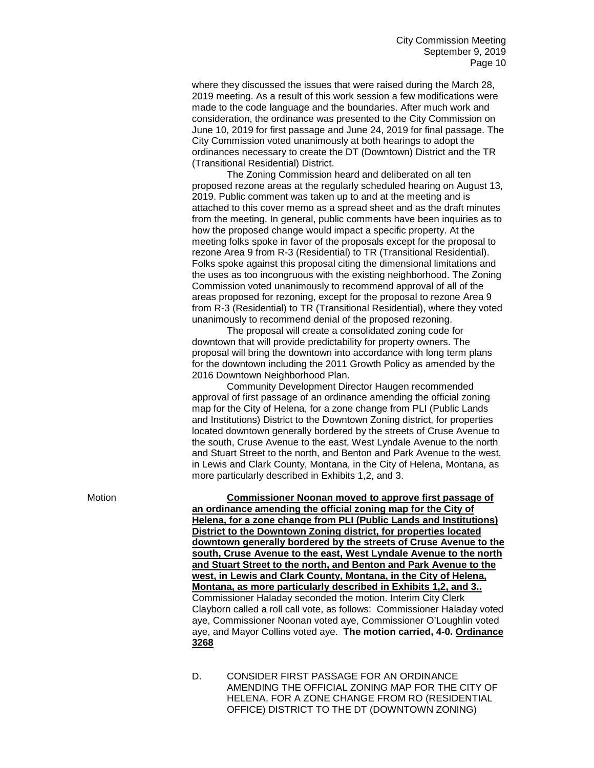where they discussed the issues that were raised during the March 28, 2019 meeting. As a result of this work session a few modifications were made to the code language and the boundaries. After much work and consideration, the ordinance was presented to the City Commission on June 10, 2019 for first passage and June 24, 2019 for final passage. The City Commission voted unanimously at both hearings to adopt the ordinances necessary to create the DT (Downtown) District and the TR (Transitional Residential) District.

The Zoning Commission heard and deliberated on all ten proposed rezone areas at the regularly scheduled hearing on August 13, 2019. Public comment was taken up to and at the meeting and is attached to this cover memo as a spread sheet and as the draft minutes from the meeting. In general, public comments have been inquiries as to how the proposed change would impact a specific property. At the meeting folks spoke in favor of the proposals except for the proposal to rezone Area 9 from R-3 (Residential) to TR (Transitional Residential). Folks spoke against this proposal citing the dimensional limitations and the uses as too incongruous with the existing neighborhood. The Zoning Commission voted unanimously to recommend approval of all of the areas proposed for rezoning, except for the proposal to rezone Area 9 from R-3 (Residential) to TR (Transitional Residential), where they voted unanimously to recommend denial of the proposed rezoning.

The proposal will create a consolidated zoning code for downtown that will provide predictability for property owners. The proposal will bring the downtown into accordance with long term plans for the downtown including the 2011 Growth Policy as amended by the 2016 Downtown Neighborhood Plan.

Community Development Director Haugen recommended approval of first passage of an ordinance amending the official zoning map for the City of Helena, for a zone change from PLI (Public Lands and Institutions) District to the Downtown Zoning district, for properties located downtown generally bordered by the streets of Cruse Avenue to the south, Cruse Avenue to the east, West Lyndale Avenue to the north and Stuart Street to the north, and Benton and Park Avenue to the west, in Lewis and Clark County, Montana, in the City of Helena, Montana, as more particularly described in Exhibits 1,2, and 3.

Motion **Commissioner Noonan moved to approve first passage of an ordinance amending the official zoning map for the City of Helena, for a zone change from PLI (Public Lands and Institutions) District to the Downtown Zoning district, for properties located downtown generally bordered by the streets of Cruse Avenue to the south, Cruse Avenue to the east, West Lyndale Avenue to the north and Stuart Street to the north, and Benton and Park Avenue to the west, in Lewis and Clark County, Montana, in the City of Helena, Montana, as more particularly described in Exhibits 1,2, and 3..**  Commissioner Haladay seconded the motion. Interim City Clerk Clayborn called a roll call vote, as follows: Commissioner Haladay voted aye, Commissioner Noonan voted aye, Commissioner O'Loughlin voted aye, and Mayor Collins voted aye. **The motion carried, 4-0. Ordinance 3268**

> D. CONSIDER FIRST PASSAGE FOR AN ORDINANCE AMENDING THE OFFICIAL ZONING MAP FOR THE CITY OF HELENA, FOR A ZONE CHANGE FROM RO (RESIDENTIAL OFFICE) DISTRICT TO THE DT (DOWNTOWN ZONING)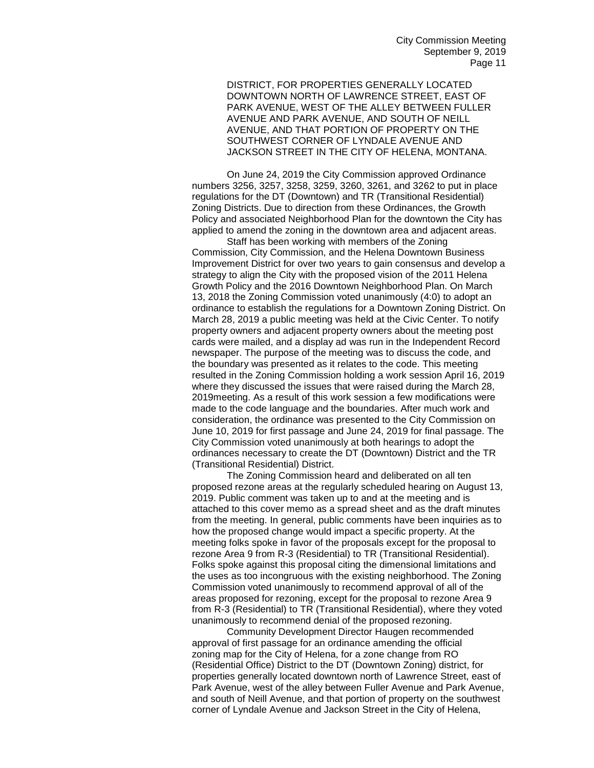DISTRICT, FOR PROPERTIES GENERALLY LOCATED DOWNTOWN NORTH OF LAWRENCE STREET, EAST OF PARK AVENUE, WEST OF THE ALLEY BETWEEN FULLER AVENUE AND PARK AVENUE, AND SOUTH OF NEILL AVENUE, AND THAT PORTION OF PROPERTY ON THE SOUTHWEST CORNER OF LYNDALE AVENUE AND JACKSON STREET IN THE CITY OF HELENA, MONTANA.

On June 24, 2019 the City Commission approved Ordinance numbers 3256, 3257, 3258, 3259, 3260, 3261, and 3262 to put in place regulations for the DT (Downtown) and TR (Transitional Residential) Zoning Districts. Due to direction from these Ordinances, the Growth Policy and associated Neighborhood Plan for the downtown the City has applied to amend the zoning in the downtown area and adjacent areas.

Staff has been working with members of the Zoning Commission, City Commission, and the Helena Downtown Business Improvement District for over two years to gain consensus and develop a strategy to align the City with the proposed vision of the 2011 Helena Growth Policy and the 2016 Downtown Neighborhood Plan. On March 13, 2018 the Zoning Commission voted unanimously (4:0) to adopt an ordinance to establish the regulations for a Downtown Zoning District. On March 28, 2019 a public meeting was held at the Civic Center. To notify property owners and adjacent property owners about the meeting post cards were mailed, and a display ad was run in the Independent Record newspaper. The purpose of the meeting was to discuss the code, and the boundary was presented as it relates to the code. This meeting resulted in the Zoning Commission holding a work session April 16, 2019 where they discussed the issues that were raised during the March 28, 2019meeting. As a result of this work session a few modifications were made to the code language and the boundaries. After much work and consideration, the ordinance was presented to the City Commission on June 10, 2019 for first passage and June 24, 2019 for final passage. The City Commission voted unanimously at both hearings to adopt the ordinances necessary to create the DT (Downtown) District and the TR (Transitional Residential) District.

The Zoning Commission heard and deliberated on all ten proposed rezone areas at the regularly scheduled hearing on August 13, 2019. Public comment was taken up to and at the meeting and is attached to this cover memo as a spread sheet and as the draft minutes from the meeting. In general, public comments have been inquiries as to how the proposed change would impact a specific property. At the meeting folks spoke in favor of the proposals except for the proposal to rezone Area 9 from R-3 (Residential) to TR (Transitional Residential). Folks spoke against this proposal citing the dimensional limitations and the uses as too incongruous with the existing neighborhood. The Zoning Commission voted unanimously to recommend approval of all of the areas proposed for rezoning, except for the proposal to rezone Area 9 from R-3 (Residential) to TR (Transitional Residential), where they voted unanimously to recommend denial of the proposed rezoning.

Community Development Director Haugen recommended approval of first passage for an ordinance amending the official zoning map for the City of Helena, for a zone change from RO (Residential Office) District to the DT (Downtown Zoning) district, for properties generally located downtown north of Lawrence Street, east of Park Avenue, west of the alley between Fuller Avenue and Park Avenue, and south of Neill Avenue, and that portion of property on the southwest corner of Lyndale Avenue and Jackson Street in the City of Helena,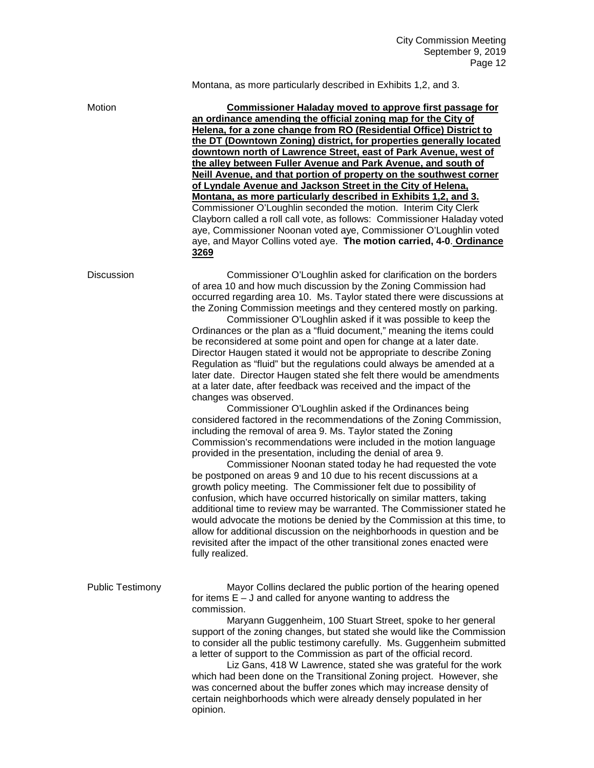## Montana, as more particularly described in Exhibits 1,2, and 3.

| Motion                  | <b>Commissioner Haladay moved to approve first passage for</b><br>an ordinance amending the official zoning map for the City of<br>Helena, for a zone change from RO (Residential Office) District to<br>the DT (Downtown Zoning) district, for properties generally located<br>downtown north of Lawrence Street, east of Park Avenue, west of<br>the alley between Fuller Avenue and Park Avenue, and south of<br>Neill Avenue, and that portion of property on the southwest corner<br>of Lyndale Avenue and Jackson Street in the City of Helena,<br>Montana, as more particularly described in Exhibits 1,2, and 3.<br>Commissioner O'Loughlin seconded the motion. Interim City Clerk<br>Clayborn called a roll call vote, as follows: Commissioner Haladay voted<br>aye, Commissioner Noonan voted aye, Commissioner O'Loughlin voted<br>aye, and Mayor Collins voted aye. The motion carried, 4-0. Ordinance<br>3269                                                                                                                                                                                                                                                                                                                                                                                                                                                                                                                                                                                                                                                                                                                                                                                                                                                           |
|-------------------------|----------------------------------------------------------------------------------------------------------------------------------------------------------------------------------------------------------------------------------------------------------------------------------------------------------------------------------------------------------------------------------------------------------------------------------------------------------------------------------------------------------------------------------------------------------------------------------------------------------------------------------------------------------------------------------------------------------------------------------------------------------------------------------------------------------------------------------------------------------------------------------------------------------------------------------------------------------------------------------------------------------------------------------------------------------------------------------------------------------------------------------------------------------------------------------------------------------------------------------------------------------------------------------------------------------------------------------------------------------------------------------------------------------------------------------------------------------------------------------------------------------------------------------------------------------------------------------------------------------------------------------------------------------------------------------------------------------------------------------------------------------------------------------------|
| <b>Discussion</b>       | Commissioner O'Loughlin asked for clarification on the borders<br>of area 10 and how much discussion by the Zoning Commission had<br>occurred regarding area 10. Ms. Taylor stated there were discussions at<br>the Zoning Commission meetings and they centered mostly on parking.<br>Commissioner O'Loughlin asked if it was possible to keep the<br>Ordinances or the plan as a "fluid document," meaning the items could<br>be reconsidered at some point and open for change at a later date.<br>Director Haugen stated it would not be appropriate to describe Zoning<br>Regulation as "fluid" but the regulations could always be amended at a<br>later date. Director Haugen stated she felt there would be amendments<br>at a later date, after feedback was received and the impact of the<br>changes was observed.<br>Commissioner O'Loughlin asked if the Ordinances being<br>considered factored in the recommendations of the Zoning Commission,<br>including the removal of area 9. Ms. Taylor stated the Zoning<br>Commission's recommendations were included in the motion language<br>provided in the presentation, including the denial of area 9.<br>Commissioner Noonan stated today he had requested the vote<br>be postponed on areas 9 and 10 due to his recent discussions at a<br>growth policy meeting. The Commissioner felt due to possibility of<br>confusion, which have occurred historically on similar matters, taking<br>additional time to review may be warranted. The Commissioner stated he<br>would advocate the motions be denied by the Commission at this time, to<br>allow for additional discussion on the neighborhoods in question and be<br>revisited after the impact of the other transitional zones enacted were<br>fully realized. |
| <b>Public Testimony</b> | Mayor Collins declared the public portion of the hearing opened<br>for items $E - J$ and called for anyone wanting to address the<br>commission.<br>Maryann Guggenheim, 100 Stuart Street, spoke to her general<br>support of the zoning changes, but stated she would like the Commission<br>to consider all the public testimony carefully. Ms. Guggenheim submitted<br>a letter of support to the Commission as part of the official record.<br>Liz Gans, 418 W Lawrence, stated she was grateful for the work<br>which had been done on the Transitional Zoning project. However, she<br>was concerned about the buffer zones which may increase density of<br>certain neighborhoods which were already densely populated in her<br>opinion.                                                                                                                                                                                                                                                                                                                                                                                                                                                                                                                                                                                                                                                                                                                                                                                                                                                                                                                                                                                                                                       |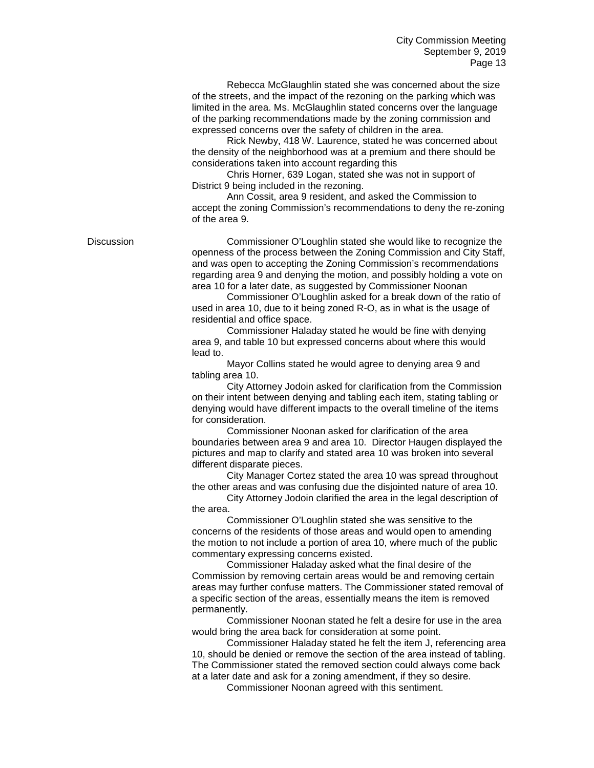Rebecca McGlaughlin stated she was concerned about the size of the streets, and the impact of the rezoning on the parking which was limited in the area. Ms. McGlaughlin stated concerns over the language of the parking recommendations made by the zoning commission and expressed concerns over the safety of children in the area.

Rick Newby, 418 W. Laurence, stated he was concerned about the density of the neighborhood was at a premium and there should be considerations taken into account regarding this

Chris Horner, 639 Logan, stated she was not in support of District 9 being included in the rezoning.

Ann Cossit, area 9 resident, and asked the Commission to accept the zoning Commission's recommendations to deny the re-zoning of the area 9.

Discussion Commissioner O'Loughlin stated she would like to recognize the openness of the process between the Zoning Commission and City Staff, and was open to accepting the Zoning Commission's recommendations regarding area 9 and denying the motion, and possibly holding a vote on area 10 for a later date, as suggested by Commissioner Noonan

> Commissioner O'Loughlin asked for a break down of the ratio of used in area 10, due to it being zoned R-O, as in what is the usage of residential and office space.

Commissioner Haladay stated he would be fine with denying area 9, and table 10 but expressed concerns about where this would lead to.

Mayor Collins stated he would agree to denying area 9 and tabling area 10.

City Attorney Jodoin asked for clarification from the Commission on their intent between denying and tabling each item, stating tabling or denying would have different impacts to the overall timeline of the items for consideration.

Commissioner Noonan asked for clarification of the area boundaries between area 9 and area 10. Director Haugen displayed the pictures and map to clarify and stated area 10 was broken into several different disparate pieces.

City Manager Cortez stated the area 10 was spread throughout the other areas and was confusing due the disjointed nature of area 10.

City Attorney Jodoin clarified the area in the legal description of the area.

Commissioner O'Loughlin stated she was sensitive to the concerns of the residents of those areas and would open to amending the motion to not include a portion of area 10, where much of the public commentary expressing concerns existed.

Commissioner Haladay asked what the final desire of the Commission by removing certain areas would be and removing certain areas may further confuse matters. The Commissioner stated removal of a specific section of the areas, essentially means the item is removed permanently.

Commissioner Noonan stated he felt a desire for use in the area would bring the area back for consideration at some point.

Commissioner Haladay stated he felt the item J, referencing area 10, should be denied or remove the section of the area instead of tabling. The Commissioner stated the removed section could always come back at a later date and ask for a zoning amendment, if they so desire.

Commissioner Noonan agreed with this sentiment.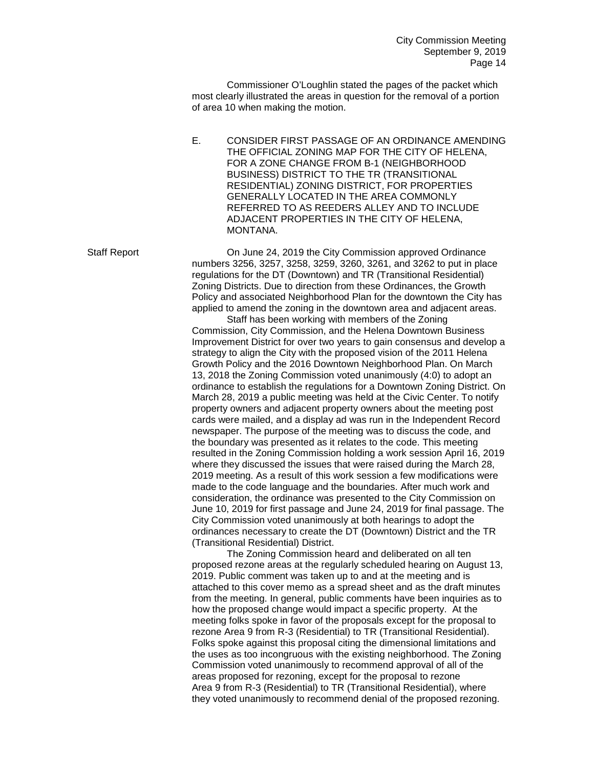Commissioner O'Loughlin stated the pages of the packet which most clearly illustrated the areas in question for the removal of a portion of area 10 when making the motion.

E. CONSIDER FIRST PASSAGE OF AN ORDINANCE AMENDING THE OFFICIAL ZONING MAP FOR THE CITY OF HELENA, FOR A ZONE CHANGE FROM B-1 (NEIGHBORHOOD BUSINESS) DISTRICT TO THE TR (TRANSITIONAL RESIDENTIAL) ZONING DISTRICT, FOR PROPERTIES GENERALLY LOCATED IN THE AREA COMMONLY REFERRED TO AS REEDERS ALLEY AND TO INCLUDE ADJACENT PROPERTIES IN THE CITY OF HELENA, MONTANA.

Staff Report On June 24, 2019 the City Commission approved Ordinance numbers 3256, 3257, 3258, 3259, 3260, 3261, and 3262 to put in place regulations for the DT (Downtown) and TR (Transitional Residential) Zoning Districts. Due to direction from these Ordinances, the Growth Policy and associated Neighborhood Plan for the downtown the City has applied to amend the zoning in the downtown area and adjacent areas.

Staff has been working with members of the Zoning Commission, City Commission, and the Helena Downtown Business Improvement District for over two years to gain consensus and develop a strategy to align the City with the proposed vision of the 2011 Helena Growth Policy and the 2016 Downtown Neighborhood Plan. On March 13, 2018 the Zoning Commission voted unanimously (4:0) to adopt an ordinance to establish the regulations for a Downtown Zoning District. On March 28, 2019 a public meeting was held at the Civic Center. To notify property owners and adjacent property owners about the meeting post cards were mailed, and a display ad was run in the Independent Record newspaper. The purpose of the meeting was to discuss the code, and the boundary was presented as it relates to the code. This meeting resulted in the Zoning Commission holding a work session April 16, 2019 where they discussed the issues that were raised during the March 28, 2019 meeting. As a result of this work session a few modifications were made to the code language and the boundaries. After much work and consideration, the ordinance was presented to the City Commission on June 10, 2019 for first passage and June 24, 2019 for final passage. The City Commission voted unanimously at both hearings to adopt the ordinances necessary to create the DT (Downtown) District and the TR (Transitional Residential) District.

The Zoning Commission heard and deliberated on all ten proposed rezone areas at the regularly scheduled hearing on August 13, 2019. Public comment was taken up to and at the meeting and is attached to this cover memo as a spread sheet and as the draft minutes from the meeting. In general, public comments have been inquiries as to how the proposed change would impact a specific property. At the meeting folks spoke in favor of the proposals except for the proposal to rezone Area 9 from R-3 (Residential) to TR (Transitional Residential). Folks spoke against this proposal citing the dimensional limitations and the uses as too incongruous with the existing neighborhood. The Zoning Commission voted unanimously to recommend approval of all of the areas proposed for rezoning, except for the proposal to rezone Area 9 from R-3 (Residential) to TR (Transitional Residential), where they voted unanimously to recommend denial of the proposed rezoning.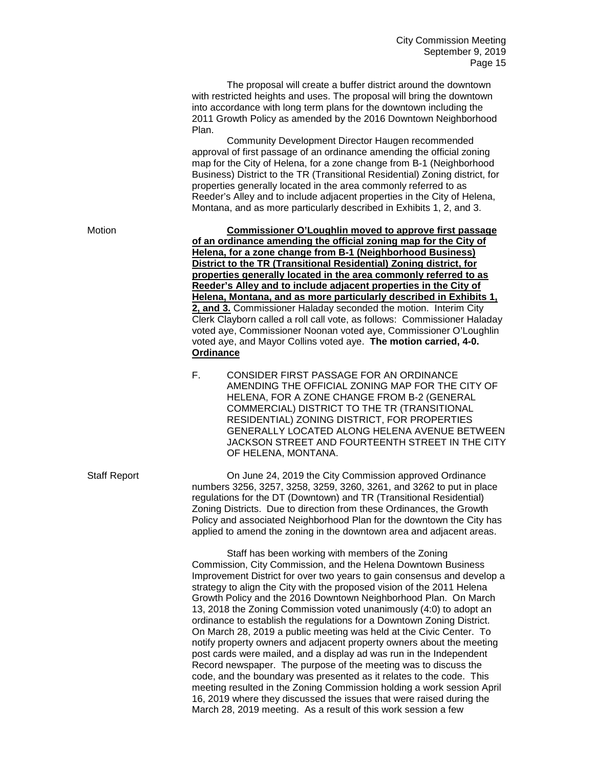The proposal will create a buffer district around the downtown with restricted heights and uses. The proposal will bring the downtown into accordance with long term plans for the downtown including the 2011 Growth Policy as amended by the 2016 Downtown Neighborhood Plan.

Community Development Director Haugen recommended approval of first passage of an ordinance amending the official zoning map for the City of Helena, for a zone change from B-1 (Neighborhood Business) District to the TR (Transitional Residential) Zoning district, for properties generally located in the area commonly referred to as Reeder's Alley and to include adjacent properties in the City of Helena, Montana, and as more particularly described in Exhibits 1, 2, and 3.

Motion **Commissioner O'Loughlin moved to approve first passage of an ordinance amending the official zoning map for the City of Helena, for a zone change from B-1 (Neighborhood Business) District to the TR (Transitional Residential) Zoning district, for properties generally located in the area commonly referred to as Reeder's Alley and to include adjacent properties in the City of Helena, Montana, and as more particularly described in Exhibits 1, 2, and 3.** Commissioner Haladay seconded the motion. Interim City Clerk Clayborn called a roll call vote, as follows: Commissioner Haladay voted aye, Commissioner Noonan voted aye, Commissioner O'Loughlin voted aye, and Mayor Collins voted aye. **The motion carried, 4-0. Ordinance** 

> F. CONSIDER FIRST PASSAGE FOR AN ORDINANCE AMENDING THE OFFICIAL ZONING MAP FOR THE CITY OF HELENA, FOR A ZONE CHANGE FROM B-2 (GENERAL COMMERCIAL) DISTRICT TO THE TR (TRANSITIONAL RESIDENTIAL) ZONING DISTRICT, FOR PROPERTIES GENERALLY LOCATED ALONG HELENA AVENUE BETWEEN JACKSON STREET AND FOURTEENTH STREET IN THE CITY OF HELENA, MONTANA.

Staff Report On June 24, 2019 the City Commission approved Ordinance numbers 3256, 3257, 3258, 3259, 3260, 3261, and 3262 to put in place regulations for the DT (Downtown) and TR (Transitional Residential) Zoning Districts. Due to direction from these Ordinances, the Growth Policy and associated Neighborhood Plan for the downtown the City has applied to amend the zoning in the downtown area and adjacent areas.

> Staff has been working with members of the Zoning Commission, City Commission, and the Helena Downtown Business Improvement District for over two years to gain consensus and develop a strategy to align the City with the proposed vision of the 2011 Helena Growth Policy and the 2016 Downtown Neighborhood Plan. On March 13, 2018 the Zoning Commission voted unanimously (4:0) to adopt an ordinance to establish the regulations for a Downtown Zoning District. On March 28, 2019 a public meeting was held at the Civic Center. To notify property owners and adjacent property owners about the meeting post cards were mailed, and a display ad was run in the Independent Record newspaper. The purpose of the meeting was to discuss the code, and the boundary was presented as it relates to the code. This meeting resulted in the Zoning Commission holding a work session April 16, 2019 where they discussed the issues that were raised during the March 28, 2019 meeting. As a result of this work session a few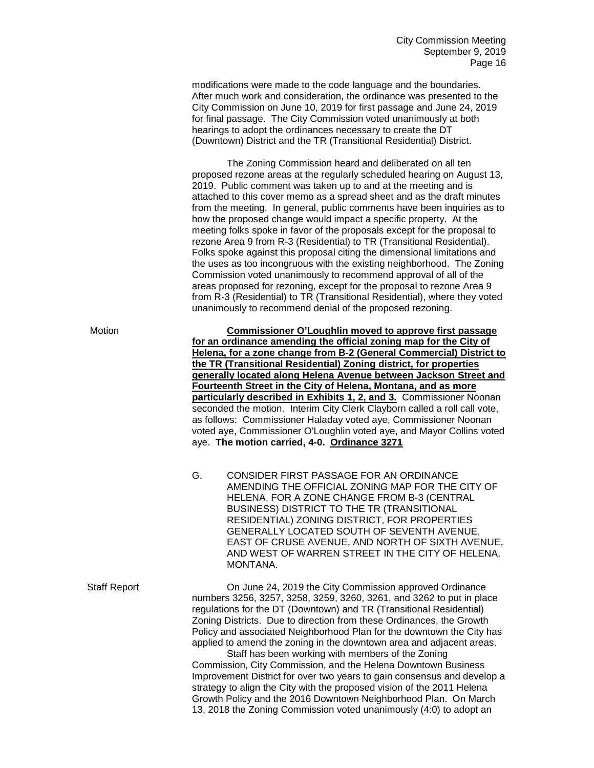modifications were made to the code language and the boundaries. After much work and consideration, the ordinance was presented to the City Commission on June 10, 2019 for first passage and June 24, 2019 for final passage. The City Commission voted unanimously at both hearings to adopt the ordinances necessary to create the DT (Downtown) District and the TR (Transitional Residential) District.

The Zoning Commission heard and deliberated on all ten proposed rezone areas at the regularly scheduled hearing on August 13, 2019. Public comment was taken up to and at the meeting and is attached to this cover memo as a spread sheet and as the draft minutes from the meeting. In general, public comments have been inquiries as to how the proposed change would impact a specific property. At the meeting folks spoke in favor of the proposals except for the proposal to rezone Area 9 from R-3 (Residential) to TR (Transitional Residential). Folks spoke against this proposal citing the dimensional limitations and the uses as too incongruous with the existing neighborhood. The Zoning Commission voted unanimously to recommend approval of all of the areas proposed for rezoning, except for the proposal to rezone Area 9 from R-3 (Residential) to TR (Transitional Residential), where they voted unanimously to recommend denial of the proposed rezoning.

Motion **Commissioner O'Loughlin moved to approve first passage for an ordinance amending the official zoning map for the City of Helena, for a zone change from B-2 (General Commercial) District to the TR (Transitional Residential) Zoning district, for properties generally located along Helena Avenue between Jackson Street and Fourteenth Street in the City of Helena, Montana, and as more particularly described in Exhibits 1, 2, and 3.** Commissioner Noonan seconded the motion. Interim City Clerk Clayborn called a roll call vote, as follows: Commissioner Haladay voted aye, Commissioner Noonan voted aye, Commissioner O'Loughlin voted aye, and Mayor Collins voted aye. **The motion carried, 4-0. Ordinance 3271**

> G. CONSIDER FIRST PASSAGE FOR AN ORDINANCE AMENDING THE OFFICIAL ZONING MAP FOR THE CITY OF HELENA, FOR A ZONE CHANGE FROM B-3 (CENTRAL BUSINESS) DISTRICT TO THE TR (TRANSITIONAL RESIDENTIAL) ZONING DISTRICT, FOR PROPERTIES GENERALLY LOCATED SOUTH OF SEVENTH AVENUE, EAST OF CRUSE AVENUE, AND NORTH OF SIXTH AVENUE, AND WEST OF WARREN STREET IN THE CITY OF HELENA, MONTANA.

Staff Report On June 24, 2019 the City Commission approved Ordinance numbers 3256, 3257, 3258, 3259, 3260, 3261, and 3262 to put in place regulations for the DT (Downtown) and TR (Transitional Residential) Zoning Districts. Due to direction from these Ordinances, the Growth Policy and associated Neighborhood Plan for the downtown the City has applied to amend the zoning in the downtown area and adjacent areas.

Staff has been working with members of the Zoning Commission, City Commission, and the Helena Downtown Business Improvement District for over two years to gain consensus and develop a strategy to align the City with the proposed vision of the 2011 Helena Growth Policy and the 2016 Downtown Neighborhood Plan. On March 13, 2018 the Zoning Commission voted unanimously (4:0) to adopt an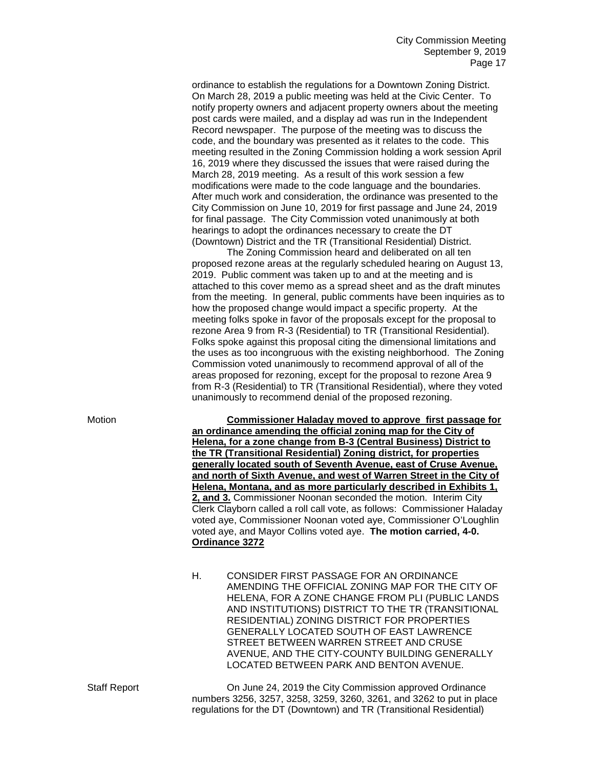ordinance to establish the regulations for a Downtown Zoning District. On March 28, 2019 a public meeting was held at the Civic Center. To notify property owners and adjacent property owners about the meeting post cards were mailed, and a display ad was run in the Independent Record newspaper. The purpose of the meeting was to discuss the code, and the boundary was presented as it relates to the code. This meeting resulted in the Zoning Commission holding a work session April 16, 2019 where they discussed the issues that were raised during the March 28, 2019 meeting. As a result of this work session a few modifications were made to the code language and the boundaries. After much work and consideration, the ordinance was presented to the City Commission on June 10, 2019 for first passage and June 24, 2019 for final passage. The City Commission voted unanimously at both hearings to adopt the ordinances necessary to create the DT (Downtown) District and the TR (Transitional Residential) District.

The Zoning Commission heard and deliberated on all ten proposed rezone areas at the regularly scheduled hearing on August 13, 2019. Public comment was taken up to and at the meeting and is attached to this cover memo as a spread sheet and as the draft minutes from the meeting. In general, public comments have been inquiries as to how the proposed change would impact a specific property. At the meeting folks spoke in favor of the proposals except for the proposal to rezone Area 9 from R-3 (Residential) to TR (Transitional Residential). Folks spoke against this proposal citing the dimensional limitations and the uses as too incongruous with the existing neighborhood. The Zoning Commission voted unanimously to recommend approval of all of the areas proposed for rezoning, except for the proposal to rezone Area 9 from R-3 (Residential) to TR (Transitional Residential), where they voted unanimously to recommend denial of the proposed rezoning.

Motion **Commissioner Haladay moved to approve first passage for an ordinance amending the official zoning map for the City of Helena, for a zone change from B-3 (Central Business) District to the TR (Transitional Residential) Zoning district, for properties generally located south of Seventh Avenue, east of Cruse Avenue, and north of Sixth Avenue, and west of Warren Street in the City of Helena, Montana, and as more particularly described in Exhibits 1, 2, and 3.** Commissioner Noonan seconded the motion. Interim City Clerk Clayborn called a roll call vote, as follows: Commissioner Haladay voted aye, Commissioner Noonan voted aye, Commissioner O'Loughlin voted aye, and Mayor Collins voted aye. **The motion carried, 4-0. Ordinance 3272**

> H. CONSIDER FIRST PASSAGE FOR AN ORDINANCE AMENDING THE OFFICIAL ZONING MAP FOR THE CITY OF HELENA, FOR A ZONE CHANGE FROM PLI (PUBLIC LANDS AND INSTITUTIONS) DISTRICT TO THE TR (TRANSITIONAL RESIDENTIAL) ZONING DISTRICT FOR PROPERTIES GENERALLY LOCATED SOUTH OF EAST LAWRENCE STREET BETWEEN WARREN STREET AND CRUSE AVENUE, AND THE CITY-COUNTY BUILDING GENERALLY LOCATED BETWEEN PARK AND BENTON AVENUE.

Staff Report **Commission 24, 2019** the City Commission approved Ordinance numbers 3256, 3257, 3258, 3259, 3260, 3261, and 3262 to put in place regulations for the DT (Downtown) and TR (Transitional Residential)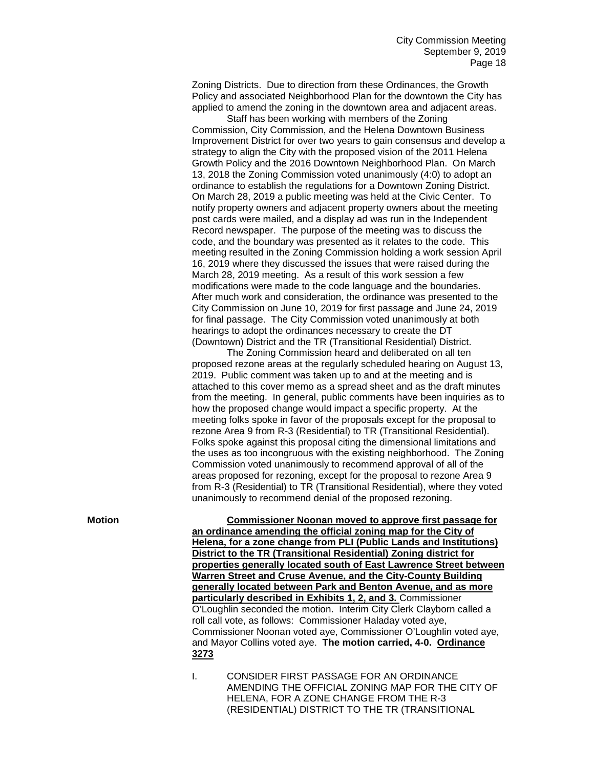Zoning Districts. Due to direction from these Ordinances, the Growth Policy and associated Neighborhood Plan for the downtown the City has applied to amend the zoning in the downtown area and adjacent areas.

Staff has been working with members of the Zoning Commission, City Commission, and the Helena Downtown Business Improvement District for over two years to gain consensus and develop a strategy to align the City with the proposed vision of the 2011 Helena Growth Policy and the 2016 Downtown Neighborhood Plan. On March 13, 2018 the Zoning Commission voted unanimously (4:0) to adopt an ordinance to establish the regulations for a Downtown Zoning District. On March 28, 2019 a public meeting was held at the Civic Center. To notify property owners and adjacent property owners about the meeting post cards were mailed, and a display ad was run in the Independent Record newspaper. The purpose of the meeting was to discuss the code, and the boundary was presented as it relates to the code. This meeting resulted in the Zoning Commission holding a work session April 16, 2019 where they discussed the issues that were raised during the March 28, 2019 meeting. As a result of this work session a few modifications were made to the code language and the boundaries. After much work and consideration, the ordinance was presented to the City Commission on June 10, 2019 for first passage and June 24, 2019 for final passage. The City Commission voted unanimously at both hearings to adopt the ordinances necessary to create the DT (Downtown) District and the TR (Transitional Residential) District.

The Zoning Commission heard and deliberated on all ten proposed rezone areas at the regularly scheduled hearing on August 13, 2019. Public comment was taken up to and at the meeting and is attached to this cover memo as a spread sheet and as the draft minutes from the meeting. In general, public comments have been inquiries as to how the proposed change would impact a specific property. At the meeting folks spoke in favor of the proposals except for the proposal to rezone Area 9 from R-3 (Residential) to TR (Transitional Residential). Folks spoke against this proposal citing the dimensional limitations and the uses as too incongruous with the existing neighborhood. The Zoning Commission voted unanimously to recommend approval of all of the areas proposed for rezoning, except for the proposal to rezone Area 9 from R-3 (Residential) to TR (Transitional Residential), where they voted unanimously to recommend denial of the proposed rezoning.

**Motion Commissioner Noonan moved to approve first passage for an ordinance amending the official zoning map for the City of Helena, for a zone change from PLI (Public Lands and Institutions) District to the TR (Transitional Residential) Zoning district for properties generally located south of East Lawrence Street between Warren Street and Cruse Avenue, and the City-County Building generally located between Park and Benton Avenue, and as more particularly described in Exhibits 1, 2, and 3.** Commissioner O'Loughlin seconded the motion. Interim City Clerk Clayborn called a roll call vote, as follows: Commissioner Haladay voted aye, Commissioner Noonan voted aye, Commissioner O'Loughlin voted aye, and Mayor Collins voted aye. **The motion carried, 4-0. Ordinance 3273**

> I. CONSIDER FIRST PASSAGE FOR AN ORDINANCE AMENDING THE OFFICIAL ZONING MAP FOR THE CITY OF HELENA, FOR A ZONE CHANGE FROM THE R-3 (RESIDENTIAL) DISTRICT TO THE TR (TRANSITIONAL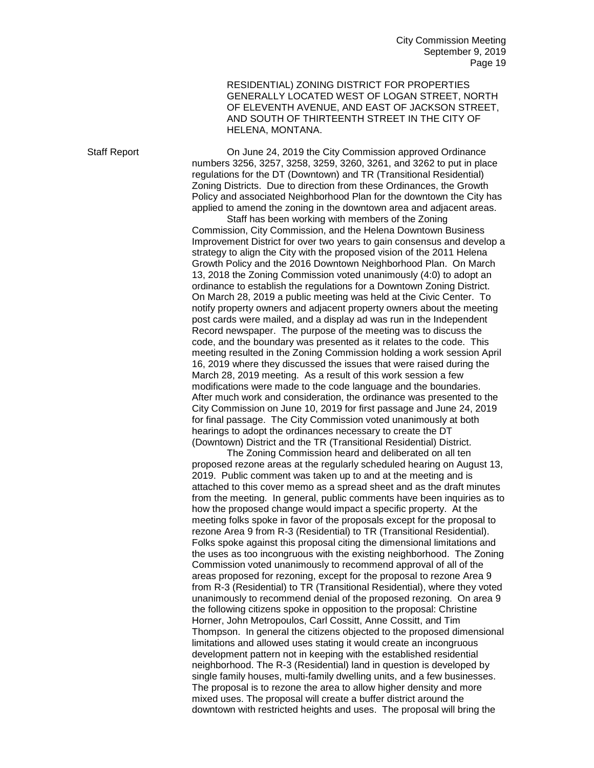City Commission Meeting September 9, 2019 Page 19

RESIDENTIAL) ZONING DISTRICT FOR PROPERTIES GENERALLY LOCATED WEST OF LOGAN STREET, NORTH OF ELEVENTH AVENUE, AND EAST OF JACKSON STREET, AND SOUTH OF THIRTEENTH STREET IN THE CITY OF HELENA, MONTANA.

Staff Report On June 24, 2019 the City Commission approved Ordinance numbers 3256, 3257, 3258, 3259, 3260, 3261, and 3262 to put in place regulations for the DT (Downtown) and TR (Transitional Residential) Zoning Districts. Due to direction from these Ordinances, the Growth Policy and associated Neighborhood Plan for the downtown the City has applied to amend the zoning in the downtown area and adjacent areas.

Staff has been working with members of the Zoning Commission, City Commission, and the Helena Downtown Business Improvement District for over two years to gain consensus and develop a strategy to align the City with the proposed vision of the 2011 Helena Growth Policy and the 2016 Downtown Neighborhood Plan. On March 13, 2018 the Zoning Commission voted unanimously (4:0) to adopt an ordinance to establish the regulations for a Downtown Zoning District. On March 28, 2019 a public meeting was held at the Civic Center. To notify property owners and adjacent property owners about the meeting post cards were mailed, and a display ad was run in the Independent Record newspaper. The purpose of the meeting was to discuss the code, and the boundary was presented as it relates to the code. This meeting resulted in the Zoning Commission holding a work session April 16, 2019 where they discussed the issues that were raised during the March 28, 2019 meeting. As a result of this work session a few modifications were made to the code language and the boundaries. After much work and consideration, the ordinance was presented to the City Commission on June 10, 2019 for first passage and June 24, 2019 for final passage. The City Commission voted unanimously at both hearings to adopt the ordinances necessary to create the DT (Downtown) District and the TR (Transitional Residential) District.

The Zoning Commission heard and deliberated on all ten proposed rezone areas at the regularly scheduled hearing on August 13, 2019. Public comment was taken up to and at the meeting and is attached to this cover memo as a spread sheet and as the draft minutes from the meeting. In general, public comments have been inquiries as to how the proposed change would impact a specific property. At the meeting folks spoke in favor of the proposals except for the proposal to rezone Area 9 from R-3 (Residential) to TR (Transitional Residential). Folks spoke against this proposal citing the dimensional limitations and the uses as too incongruous with the existing neighborhood. The Zoning Commission voted unanimously to recommend approval of all of the areas proposed for rezoning, except for the proposal to rezone Area 9 from R-3 (Residential) to TR (Transitional Residential), where they voted unanimously to recommend denial of the proposed rezoning. On area 9 the following citizens spoke in opposition to the proposal: Christine Horner, John Metropoulos, Carl Cossitt, Anne Cossitt, and Tim Thompson. In general the citizens objected to the proposed dimensional limitations and allowed uses stating it would create an incongruous development pattern not in keeping with the established residential neighborhood. The R-3 (Residential) land in question is developed by single family houses, multi-family dwelling units, and a few businesses. The proposal is to rezone the area to allow higher density and more mixed uses. The proposal will create a buffer district around the downtown with restricted heights and uses. The proposal will bring the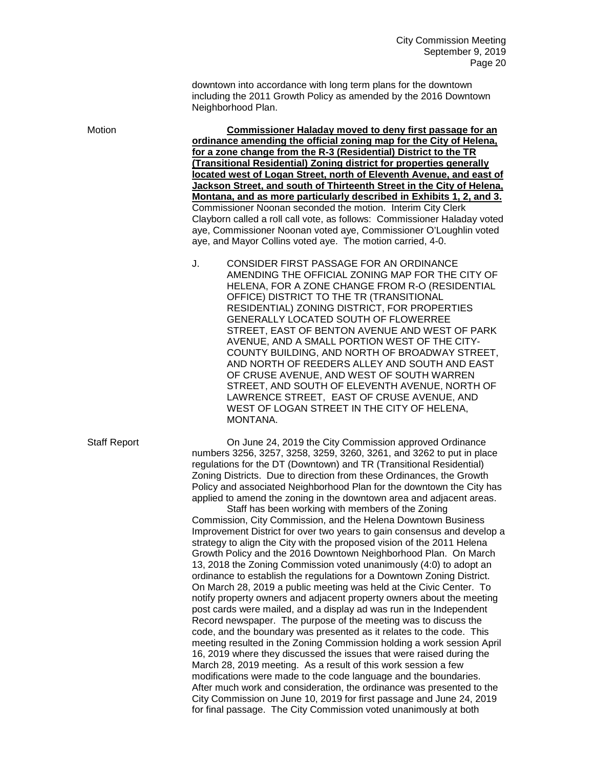downtown into accordance with long term plans for the downtown including the 2011 Growth Policy as amended by the 2016 Downtown Neighborhood Plan.

Motion **Commissioner Haladay moved to deny first passage for an ordinance amending the official zoning map for the City of Helena, for a zone change from the R-3 (Residential) District to the TR (Transitional Residential) Zoning district for properties generally located west of Logan Street, north of Eleventh Avenue, and east of Jackson Street, and south of Thirteenth Street in the City of Helena, Montana, and as more particularly described in Exhibits 1, 2, and 3.** Commissioner Noonan seconded the motion. Interim City Clerk Clayborn called a roll call vote, as follows: Commissioner Haladay voted aye, Commissioner Noonan voted aye, Commissioner O'Loughlin voted aye, and Mayor Collins voted aye. The motion carried, 4-0.

> J. CONSIDER FIRST PASSAGE FOR AN ORDINANCE AMENDING THE OFFICIAL ZONING MAP FOR THE CITY OF HELENA, FOR A ZONE CHANGE FROM R-O (RESIDENTIAL OFFICE) DISTRICT TO THE TR (TRANSITIONAL RESIDENTIAL) ZONING DISTRICT, FOR PROPERTIES GENERALLY LOCATED SOUTH OF FLOWERREE STREET, EAST OF BENTON AVENUE AND WEST OF PARK AVENUE, AND A SMALL PORTION WEST OF THE CITY-COUNTY BUILDING, AND NORTH OF BROADWAY STREET, AND NORTH OF REEDERS ALLEY AND SOUTH AND EAST OF CRUSE AVENUE, AND WEST OF SOUTH WARREN STREET, AND SOUTH OF ELEVENTH AVENUE, NORTH OF LAWRENCE STREET, EAST OF CRUSE AVENUE, AND WEST OF LOGAN STREET IN THE CITY OF HELENA, MONTANA.

Staff Report On June 24, 2019 the City Commission approved Ordinance numbers 3256, 3257, 3258, 3259, 3260, 3261, and 3262 to put in place regulations for the DT (Downtown) and TR (Transitional Residential) Zoning Districts. Due to direction from these Ordinances, the Growth Policy and associated Neighborhood Plan for the downtown the City has applied to amend the zoning in the downtown area and adjacent areas.

Staff has been working with members of the Zoning Commission, City Commission, and the Helena Downtown Business Improvement District for over two years to gain consensus and develop a strategy to align the City with the proposed vision of the 2011 Helena Growth Policy and the 2016 Downtown Neighborhood Plan. On March 13, 2018 the Zoning Commission voted unanimously (4:0) to adopt an ordinance to establish the regulations for a Downtown Zoning District. On March 28, 2019 a public meeting was held at the Civic Center. To notify property owners and adjacent property owners about the meeting post cards were mailed, and a display ad was run in the Independent Record newspaper. The purpose of the meeting was to discuss the code, and the boundary was presented as it relates to the code. This meeting resulted in the Zoning Commission holding a work session April 16, 2019 where they discussed the issues that were raised during the March 28, 2019 meeting. As a result of this work session a few modifications were made to the code language and the boundaries. After much work and consideration, the ordinance was presented to the City Commission on June 10, 2019 for first passage and June 24, 2019 for final passage. The City Commission voted unanimously at both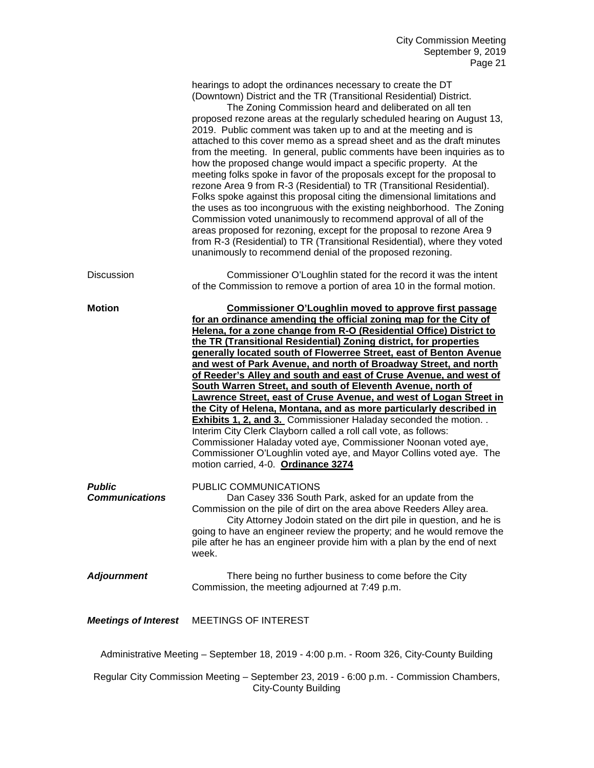|                                                                                          | hearings to adopt the ordinances necessary to create the DT<br>(Downtown) District and the TR (Transitional Residential) District.<br>The Zoning Commission heard and deliberated on all ten<br>proposed rezone areas at the regularly scheduled hearing on August 13,<br>2019. Public comment was taken up to and at the meeting and is<br>attached to this cover memo as a spread sheet and as the draft minutes<br>from the meeting. In general, public comments have been inquiries as to<br>how the proposed change would impact a specific property. At the<br>meeting folks spoke in favor of the proposals except for the proposal to<br>rezone Area 9 from R-3 (Residential) to TR (Transitional Residential).<br>Folks spoke against this proposal citing the dimensional limitations and<br>the uses as too incongruous with the existing neighborhood. The Zoning<br>Commission voted unanimously to recommend approval of all of the<br>areas proposed for rezoning, except for the proposal to rezone Area 9<br>from R-3 (Residential) to TR (Transitional Residential), where they voted<br>unanimously to recommend denial of the proposed rezoning. |  |
|------------------------------------------------------------------------------------------|----------------------------------------------------------------------------------------------------------------------------------------------------------------------------------------------------------------------------------------------------------------------------------------------------------------------------------------------------------------------------------------------------------------------------------------------------------------------------------------------------------------------------------------------------------------------------------------------------------------------------------------------------------------------------------------------------------------------------------------------------------------------------------------------------------------------------------------------------------------------------------------------------------------------------------------------------------------------------------------------------------------------------------------------------------------------------------------------------------------------------------------------------------------------|--|
| <b>Discussion</b>                                                                        | Commissioner O'Loughlin stated for the record it was the intent<br>of the Commission to remove a portion of area 10 in the formal motion.                                                                                                                                                                                                                                                                                                                                                                                                                                                                                                                                                                                                                                                                                                                                                                                                                                                                                                                                                                                                                            |  |
| <b>Motion</b>                                                                            | <b>Commissioner O'Loughlin moved to approve first passage</b><br>for an ordinance amending the official zoning map for the City of<br>Helena, for a zone change from R-O (Residential Office) District to<br>the TR (Transitional Residential) Zoning district, for properties<br>generally located south of Flowerree Street, east of Benton Avenue<br>and west of Park Avenue, and north of Broadway Street, and north<br>of Reeder's Alley and south and east of Cruse Avenue, and west of<br>South Warren Street, and south of Eleventh Avenue, north of<br>Lawrence Street, east of Cruse Avenue, and west of Logan Street in<br>the City of Helena, Montana, and as more particularly described in<br><b>Exhibits 1, 2, and 3.</b> Commissioner Haladay seconded the motion<br>Interim City Clerk Clayborn called a roll call vote, as follows:<br>Commissioner Haladay voted aye, Commissioner Noonan voted aye,<br>Commissioner O'Loughlin voted aye, and Mayor Collins voted aye. The<br>motion carried, 4-0. Ordinance 3274                                                                                                                                |  |
| <b>Public</b><br><b>Communications</b>                                                   | PUBLIC COMMUNICATIONS<br>Dan Casey 336 South Park, asked for an update from the<br>Commission on the pile of dirt on the area above Reeders Alley area.<br>City Attorney Jodoin stated on the dirt pile in question, and he is<br>going to have an engineer review the property; and he would remove the<br>pile after he has an engineer provide him with a plan by the end of next<br>week.                                                                                                                                                                                                                                                                                                                                                                                                                                                                                                                                                                                                                                                                                                                                                                        |  |
| <b>Adjournment</b>                                                                       | There being no further business to come before the City<br>Commission, the meeting adjourned at 7:49 p.m.                                                                                                                                                                                                                                                                                                                                                                                                                                                                                                                                                                                                                                                                                                                                                                                                                                                                                                                                                                                                                                                            |  |
| <b>Meetings of Interest</b>                                                              | MEETINGS OF INTEREST                                                                                                                                                                                                                                                                                                                                                                                                                                                                                                                                                                                                                                                                                                                                                                                                                                                                                                                                                                                                                                                                                                                                                 |  |
| Administrative Meeting - September 18, 2019 - 4:00 p.m. - Room 326, City-County Building |                                                                                                                                                                                                                                                                                                                                                                                                                                                                                                                                                                                                                                                                                                                                                                                                                                                                                                                                                                                                                                                                                                                                                                      |  |

Regular City Commission Meeting – September 23, 2019 - 6:00 p.m. - Commission Chambers, City-County Building